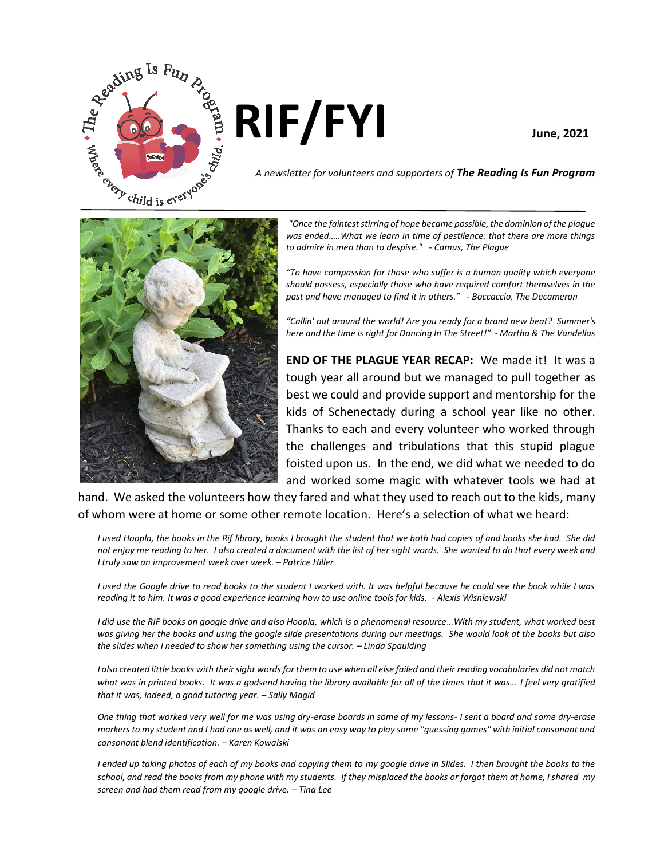

## **RIF/FYI June, 2021**

*A newsletter for volunteers and supporters of The Reading Is Fun Program*



*"Once the faintest stirring of hope became possible, the dominion of the plague was ended…..What we learn in time of pestilence: that there are more things to admire in men than to despise." - Camus, The Plague*

*"To have compassion for those who suffer is a human quality which everyone should possess, especially those who have required comfort themselves in the past and have managed to find it in others." - Boccaccio, The Decameron*

*"Callin' out around the world! Are you ready for a brand new beat? Summer's here and the time is right for Dancing In The Street!" - Martha & The Vandellas*

**END OF THE PLAGUE YEAR RECAP:** We made it! It was a tough year all around but we managed to pull together as best we could and provide support and mentorship for the kids of Schenectady during a school year like no other. Thanks to each and every volunteer who worked through the challenges and tribulations that this stupid plague foisted upon us. In the end, we did what we needed to do and worked some magic with whatever tools we had at

hand. We asked the volunteers how they fared and what they used to reach out to the kids, many of whom were at home or some other remote location. Here's a selection of what we heard:

*I used Hoopla, the books in the Rif library, books I brought the student that we both had copies of and books she had. She did not enjoy me reading to her. I also created a document with the list of her sight words. She wanted to do that every week and I truly saw an improvement week over week. – Patrice Hiller*

I used the Google drive to read books to the student I worked with. It was helpful because he could see the book while I was *reading it to him. It was a good experience learning how to use online tools for kids. - Alexis Wisniewski*

*I did use the RIF books on google drive and also Hoopla, which is a phenomenal resource…With my student, what worked best was giving her the books and using the google slide presentations during our meetings. She would look at the books but also the slides when I needed to show her something using the cursor. – Linda Spaulding*

*I also created little books with their sight words for them to use when all else failed and their reading vocabularies did not match what was in printed books. It was a godsend having the library available for all of the times that it was… I feel very gratified that it was, indeed, a good tutoring year. – Sally Magid*

*One thing that worked very well for me was using dry-erase boards in some of my lessons- I sent a board and some dry-erase markers to my student and I had one as well, and it was an easy way to play some "guessing games" with initial consonant and consonant blend identification. – Karen Kowalski*

*I ended up taking photos of each of my books and copying them to my google drive in Slides. I then brought the books to the school, and read the books from my phone with my students. If they misplaced the books or forgot them at home, I shared my screen and had them read from my google drive. – Tina Lee*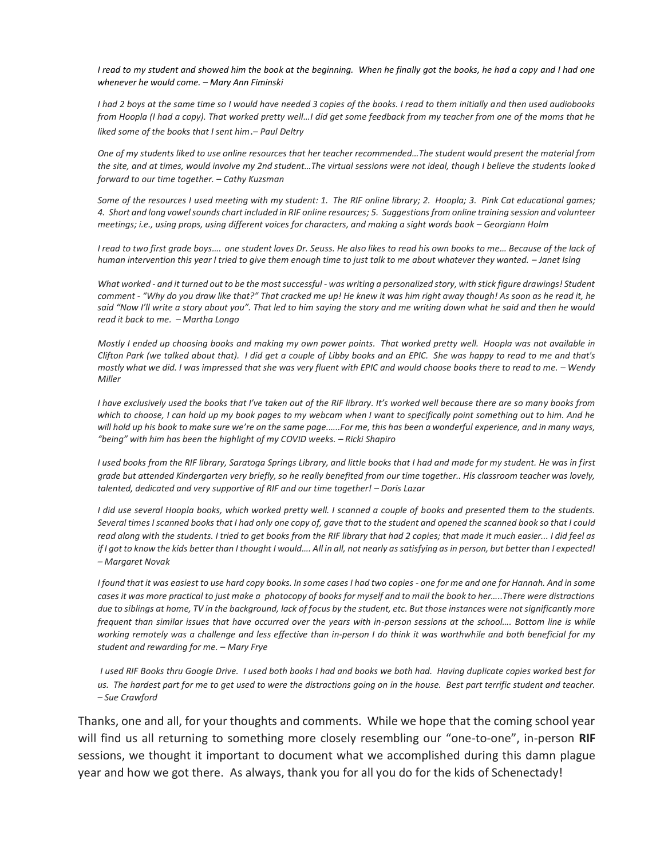*I read to my student and showed him the book at the beginning. When he finally got the books, he had a copy and I had one whenever he would come. – Mary Ann Fiminski*

*I had 2 boys at the same time so I would have needed 3 copies of the books. I read to them initially and then used audiobooks from Hoopla (I had a copy). That worked pretty well…I did get some feedback from my teacher from one of the moms that he liked some of the books that I sent him*.*– Paul Deltry*

*One of my students liked to use online resources that her teacher recommended…The student would present the material from the site, and at times, would involve my 2nd student…The virtual sessions were not ideal, though I believe the students looked forward to our time together. – Cathy Kuzsman*

*Some of the resources I used meeting with my student: 1. The RIF online library; 2. Hoopla; 3. Pink Cat educational games; 4. Short and long vowel sounds chart included in RIF online resources; 5. Suggestions from online training session and volunteer meetings; i.e., using props, using different voices for characters, and making a sight words book – Georgiann Holm*

*I read to two first grade boys…. one student loves Dr. Seuss. He also likes to read his own books to me… Because of the lack of human intervention this year I tried to give them enough time to just talk to me about whatever they wanted. – Janet Ising*

*What worked - and it turned out to be the most successful - was writing a personalized story, with stick figure drawings! Student comment - "Why do you draw like that?" That cracked me up! He knew it was him right away though! As soon as he read it, he said "Now I'll write a story about you". That led to him saying the story and me writing down what he said and then he would read it back to me. – Martha Longo*

*Mostly I ended up choosing books and making my own power points. That worked pretty well. Hoopla was not available in Clifton Park (we talked about that). I did get a couple of Libby books and an EPIC. She was happy to read to me and that's mostly what we did. I was impressed that she was very fluent with EPIC and would choose books there to read to me. – Wendy Miller*

*I have exclusively used the books that I've taken out of the RIF library. It's worked well because there are so many books from which to choose, I can hold up my book pages to my webcam when I want to specifically point something out to him. And he will hold up his book to make sure we're on the same page.…..For me, this has been a wonderful experience, and in many ways, "being" with him has been the highlight of my COVID weeks. – Ricki Shapiro*

*I used books from the RIF library, Saratoga Springs Library, and little books that I had and made for my student. He was in first grade but attended Kindergarten very briefly, so he really benefited from our time together.. His classroom teacher was lovely, talented, dedicated and very supportive of RIF and our time together! – Doris Lazar*

*I did use several Hoopla books, which worked pretty well. I scanned a couple of books and presented them to the students. Several times I scanned books that I had only one copy of, gave that to the student and opened the scanned book so that I could read along with the students. I tried to get books from the RIF library that had 2 copies; that made it much easier... I did feel as*  if I got to know the kids better than I thought I would.... All in all, not nearly as satisfying as in person, but better than I expected! *– Margaret Novak*

*I found that it was easiest to use hard copy books. In some cases I had two copies - one for me and one for Hannah. And in some cases it was more practical to just make a photocopy of books for myself and to mail the book to her…..There were distractions due to siblings at home, TV in the background, lack of focus by the student, etc. But those instances were not significantly more frequent than similar issues that have occurred over the years with in-person sessions at the school…. Bottom line is while working remotely was a challenge and less effective than in-person I do think it was worthwhile and both beneficial for my student and rewarding for me. – Mary Frye*

*I used RIF Books thru Google Drive. I used both books I had and books we both had. Having duplicate copies worked best for us. The hardest part for me to get used to were the distractions going on in the house. Best part terrific student and teacher. – Sue Crawford*

Thanks, one and all, for your thoughts and comments. While we hope that the coming school year will find us all returning to something more closely resembling our "one-to-one", in-person **RIF** sessions, we thought it important to document what we accomplished during this damn plague year and how we got there. As always, thank you for all you do for the kids of Schenectady!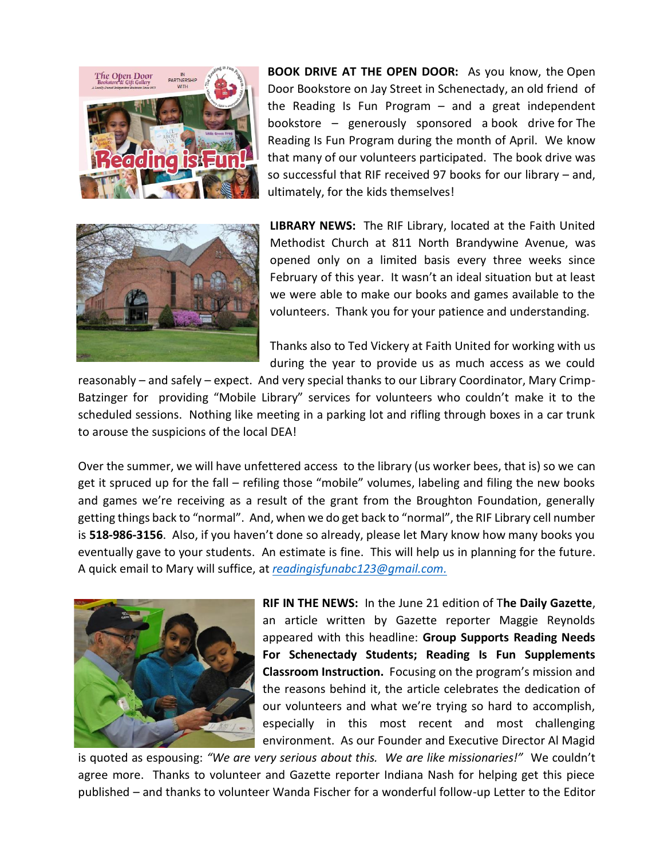

**BOOK DRIVE AT THE OPEN DOOR:** As you know, the Open Door Bookstore on Jay Street in Schenectady, an old friend of the Reading Is Fun Program – and a great independent bookstore – generously sponsored a book drive for The Reading Is Fun Program during the month of April. We know that many of our volunteers participated. The book drive was so successful that RIF received 97 books for our library – and, ultimately, for the kids themselves!



**LIBRARY NEWS:** The RIF Library, located at the Faith United Methodist Church at 811 North Brandywine Avenue, was opened only on a limited basis every three weeks since February of this year. It wasn't an ideal situation but at least we were able to make our books and games available to the volunteers. Thank you for your patience and understanding.

Thanks also to Ted Vickery at Faith United for working with us during the year to provide us as much access as we could

reasonably – and safely – expect. And very special thanks to our Library Coordinator, Mary Crimp-Batzinger for providing "Mobile Library" services for volunteers who couldn't make it to the scheduled sessions. Nothing like meeting in a parking lot and rifling through boxes in a car trunk to arouse the suspicions of the local DEA!

Over the summer, we will have unfettered access to the library (us worker bees, that is) so we can get it spruced up for the fall – refiling those "mobile" volumes, labeling and filing the new books and games we're receiving as a result of the grant from the Broughton Foundation, generally getting things back to "normal". And, when we do get back to "normal", the RIF Library cell number is **518-986-3156**. Also, if you haven't done so already, please let Mary know how many books you eventually gave to your students. An estimate is fine. This will help us in planning for the future. A quick email to Mary will suffice, at *[readingisfunabc123@gmail.com.](mailto:readingisfunabc123@gmail.com)*



**RIF IN THE NEWS:** In the June 21 edition of T**he Daily Gazette**, an article written by Gazette reporter Maggie Reynolds appeared with this headline: **Group Supports Reading Needs For Schenectady Students; Reading Is Fun Supplements Classroom Instruction.** Focusing on the program's mission and the reasons behind it, the article celebrates the dedication of our volunteers and what we're trying so hard to accomplish, especially in this most recent and most challenging environment. As our Founder and Executive Director Al Magid

is quoted as espousing: *"We are very serious about this. We are like missionaries!"* We couldn't agree more. Thanks to volunteer and Gazette reporter Indiana Nash for helping get this piece published – and thanks to volunteer Wanda Fischer for a wonderful follow-up Letter to the Editor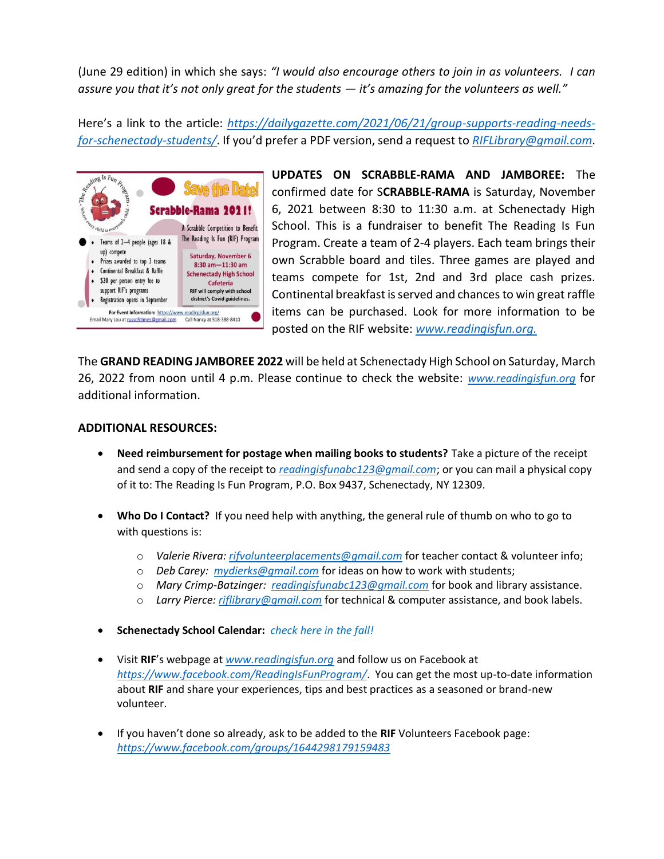(June 29 edition) in which she says: *"I would also encourage others to join in as volunteers. I can assure you that it's not only great for the students — it's amazing for the volunteers as well."*

Here's a link to the article: *[https://dailygazette.com/2021/06/21/group-supports-reading-needs](https://dailygazette.com/2021/06/21/group-supports-reading-needs-for-schenectady-students/)[for-schenectady-students/](https://dailygazette.com/2021/06/21/group-supports-reading-needs-for-schenectady-students/)*. If you'd prefer a PDF version, send a request to *[RIFLibrary@gmail.com.](mailto:RIFLibrary@gmail.com)*



**UPDATES ON SCRABBLE-RAMA AND JAMBOREE:** The confirmed date for S**CRABBLE-RAMA** is Saturday, November 6, 2021 between 8:30 to 11:30 a.m. at Schenectady High School. This is a fundraiser to benefit The Reading Is Fun Program. Create a team of 2-4 players. Each team brings their own Scrabble board and tiles. Three games are played and teams compete for 1st, 2nd and 3rd place cash prizes. Continental breakfast is served and chances to win great raffle items can be purchased. Look for more information to be posted on the RIF website: *[www.readingisfun.org.](http://www.readingisfun.org/)*

The **GRAND READING JAMBOREE 2022** will be held at Schenectady High School on Saturday, March 26, 2022 from noon until 4 p.m. Please continue to check the website: *[www.readingisfun.org](http://www.readingisfun.org/)* for additional information.

## **ADDITIONAL RESOURCES:**

- **Need reimbursement for postage when mailing books to students?** Take a picture of the receipt and send a copy of the receipt to *[readingisfunabc123@gmail.com](mailto:readingisfunabc123@gmail.com)*; or you can mail a physical copy of it to: The Reading Is Fun Program, P.O. Box 9437, Schenectady, NY 12309.
- **Who Do I Contact?** If you need help with anything, the general rule of thumb on who to go to with questions is:
	- o *Valerie Rivera: [rifvolunteerplacements@gmail.com](mailto:rifvolunteerplacements@gmail.com)* for teacher contact & volunteer info;
	- o *Deb Carey: [mydierks@gmail.com](mailto:mydierks@gmail.com)* for ideas on how to work with students;
	- o *Mary Crimp-Batzinger: [readingisfunabc123@gmail.com](mailto:readingisfunabc123@gmail.com)* for book and library assistance.
	- o *Larry Pierce[: riflibrary@gmail.com](mailto:riflibrary@gmail.com)* for technical & computer assistance, and book labels.
- **Schenectady School Calendar:** *check here in the fall!*
- Visit **RIF**'s webpage at *[www.readingisfun.org](http://www.readingisfun.org/)* and follow us on Facebook at *<https://www.facebook.com/ReadingIsFunProgram/>*. You can get the most up-to-date information about **RIF** and share your experiences, tips and best practices as a seasoned or brand-new volunteer.
- If you haven't done so already, ask to be added to the **RIF** Volunteers Facebook page: *<https://www.facebook.com/groups/1644298179159483>*